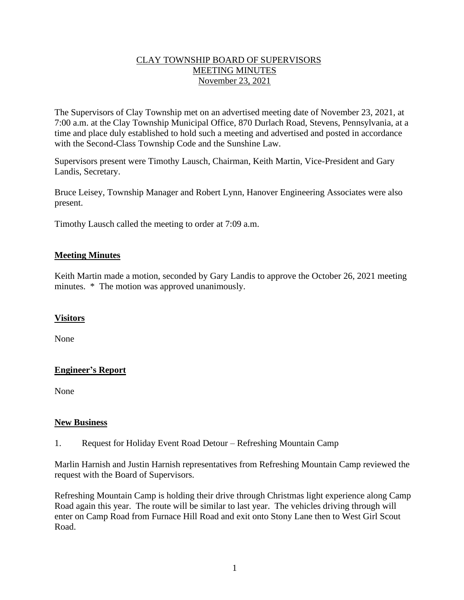# CLAY TOWNSHIP BOARD OF SUPERVISORS MEETING MINUTES November 23, 2021

The Supervisors of Clay Township met on an advertised meeting date of November 23, 2021, at 7:00 a.m. at the Clay Township Municipal Office, 870 Durlach Road, Stevens, Pennsylvania, at a time and place duly established to hold such a meeting and advertised and posted in accordance with the Second-Class Township Code and the Sunshine Law.

Supervisors present were Timothy Lausch, Chairman, Keith Martin, Vice-President and Gary Landis, Secretary.

Bruce Leisey, Township Manager and Robert Lynn, Hanover Engineering Associates were also present.

Timothy Lausch called the meeting to order at 7:09 a.m.

#### **Meeting Minutes**

Keith Martin made a motion, seconded by Gary Landis to approve the October 26, 2021 meeting minutes. \* The motion was approved unanimously.

#### **Visitors**

None

# **Engineer's Report**

None

#### **New Business**

1. Request for Holiday Event Road Detour – Refreshing Mountain Camp

Marlin Harnish and Justin Harnish representatives from Refreshing Mountain Camp reviewed the request with the Board of Supervisors.

Refreshing Mountain Camp is holding their drive through Christmas light experience along Camp Road again this year. The route will be similar to last year. The vehicles driving through will enter on Camp Road from Furnace Hill Road and exit onto Stony Lane then to West Girl Scout Road.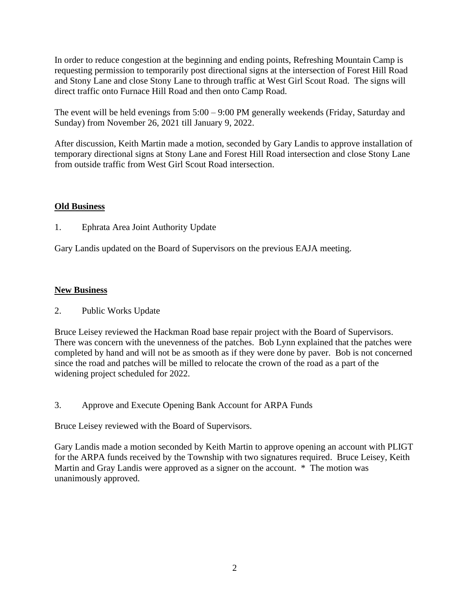In order to reduce congestion at the beginning and ending points, Refreshing Mountain Camp is requesting permission to temporarily post directional signs at the intersection of Forest Hill Road and Stony Lane and close Stony Lane to through traffic at West Girl Scout Road. The signs will direct traffic onto Furnace Hill Road and then onto Camp Road.

The event will be held evenings from 5:00 – 9:00 PM generally weekends (Friday, Saturday and Sunday) from November 26, 2021 till January 9, 2022.

After discussion, Keith Martin made a motion, seconded by Gary Landis to approve installation of temporary directional signs at Stony Lane and Forest Hill Road intersection and close Stony Lane from outside traffic from West Girl Scout Road intersection.

# **Old Business**

1. Ephrata Area Joint Authority Update

Gary Landis updated on the Board of Supervisors on the previous EAJA meeting.

# **New Business**

# 2. Public Works Update

Bruce Leisey reviewed the Hackman Road base repair project with the Board of Supervisors. There was concern with the unevenness of the patches. Bob Lynn explained that the patches were completed by hand and will not be as smooth as if they were done by paver. Bob is not concerned since the road and patches will be milled to relocate the crown of the road as a part of the widening project scheduled for 2022.

3. Approve and Execute Opening Bank Account for ARPA Funds

Bruce Leisey reviewed with the Board of Supervisors.

Gary Landis made a motion seconded by Keith Martin to approve opening an account with PLIGT for the ARPA funds received by the Township with two signatures required. Bruce Leisey, Keith Martin and Gray Landis were approved as a signer on the account. \* The motion was unanimously approved.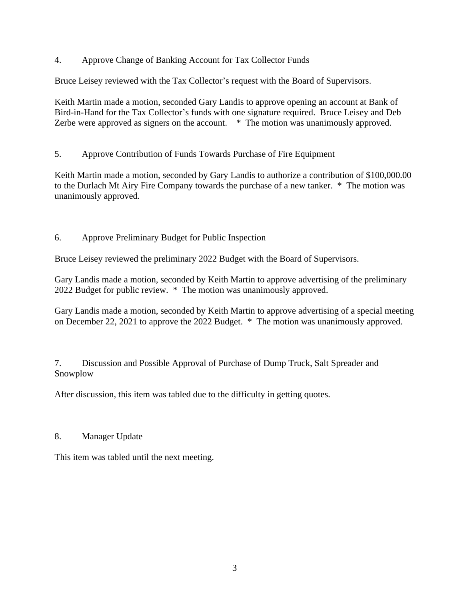4. Approve Change of Banking Account for Tax Collector Funds

Bruce Leisey reviewed with the Tax Collector's request with the Board of Supervisors.

Keith Martin made a motion, seconded Gary Landis to approve opening an account at Bank of Bird-in-Hand for the Tax Collector's funds with one signature required. Bruce Leisey and Deb Zerbe were approved as signers on the account.  $*$  The motion was unanimously approved.

5. Approve Contribution of Funds Towards Purchase of Fire Equipment

Keith Martin made a motion, seconded by Gary Landis to authorize a contribution of \$100,000.00 to the Durlach Mt Airy Fire Company towards the purchase of a new tanker. \* The motion was unanimously approved.

6. Approve Preliminary Budget for Public Inspection

Bruce Leisey reviewed the preliminary 2022 Budget with the Board of Supervisors.

Gary Landis made a motion, seconded by Keith Martin to approve advertising of the preliminary 2022 Budget for public review. \* The motion was unanimously approved.

Gary Landis made a motion, seconded by Keith Martin to approve advertising of a special meeting on December 22, 2021 to approve the 2022 Budget. \* The motion was unanimously approved.

7. Discussion and Possible Approval of Purchase of Dump Truck, Salt Spreader and Snowplow

After discussion, this item was tabled due to the difficulty in getting quotes.

# 8. Manager Update

This item was tabled until the next meeting.